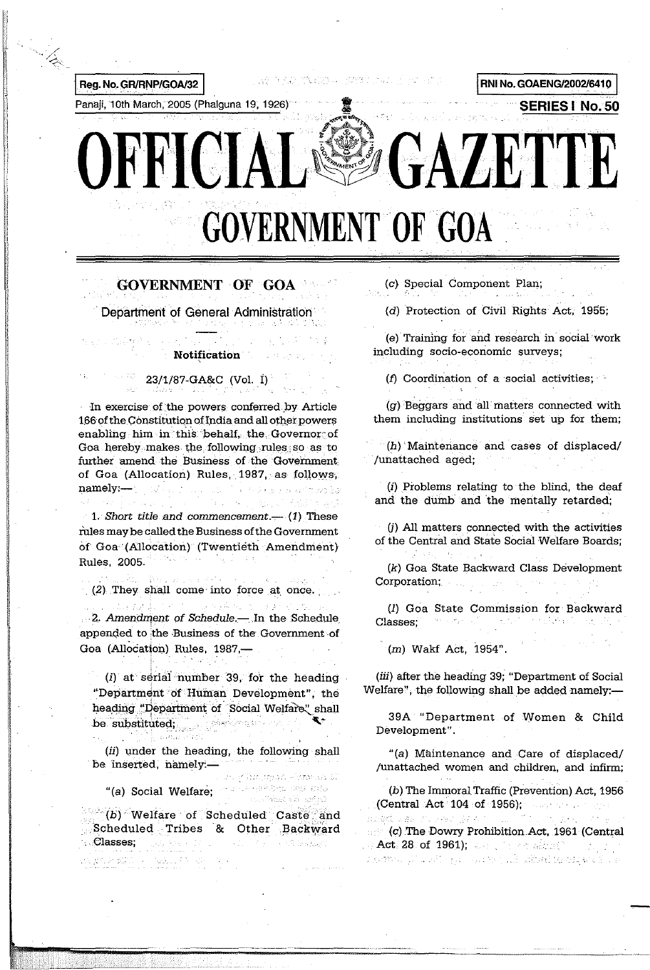

# **GOVERNMENT OF GOA**

Department of General Administration

# Notification

23/1/87-GA&C (Vol. I)

In exercise of the powers conferred by Article 166 of the Constitution of India and all other powers enabling him in this behalf, the Governor of Goa hereby makes the following rules so as to further amend the Business of the Government of Goa (Allocation) Rules, 1987, as follows, namely :- Note that the contract and the second

 $\cdot$  1. Short title and commencement.— (1) These rules may be called the Business of the Government of Goa (Allocation) (Twentieth Amendment) Maria. Rules, 2005.

 $(2)$  They shall come into force at once. and the first of the second was the second to the

2. Amendment of Schedule - In the Schedule appended to the Business of the Government of Goa (Allocation) Rules, 1987,-

 $(i)$  at serial number 39, for the heading "Department of Human Development", the heading "Department of Social Welfare" shall be substituted; and the substituted behind the substituted of the state of the state of the state of the state of the state of the state of the state of the state of the state of the state of the state of the state of the ti estili

(ii) under the heading, the following shall be inserted, namely:-

11 M

Giovannia Aleksandra S Telephilical applicate "(a) Social Welfare; Yaz za afro

(b) Welfare of Scheduled Caste and Scheduled Tribes & Other Backward **Classes:** in a string open Kakamatan Kabupatén S

(c) Special Component Plan;

 $\mathcal{L}=\mathcal{L}=\mathcal{L}$  , where (d) Protection of Civil Rights Act, 1955;

(e) Training for and research in social work including socio-economic surveys;

(f) Coordination of a social activities;

(g) Beggars and all matters connected with them including institutions set up for them;

(h) Maintenance and cases of displaced/ /unattached aged;

(i) Problems relating to the blind, the deaf and the dumb and the mentally retarded;

(j) All matters connected with the activities of the Central and State Social Welfare Boards:

(k) Goa State Backward Class Development  $\mathcal{L}^{\text{max}}_{\text{max}}$  and  $\mathcal{L}^{\text{max}}_{\text{max}}$  and  $\mathcal{L}^{\text{max}}_{\text{max}}$ Corporation;

(I) Goa State Commission for Backward Classes; which is a state of the set of the state

(m) Wakf Act, 1954".

(iii) after the heading 39; "Department of Social Welfare", the following shall be added namely:—

39A "Department of Women & Child Development".

"(a) Maintenance and Care of displaced/ /unattached women and children, and infirm;

(b) The Immoral Traffic (Prevention) Act, 1956 (Central Act<sup>-104</sup> of 1956);  $\ldots$  and  $\ldots$ abad kas humad je e tij i "ti (c) The Dowry Prohibition Act, 1961 (Central , and  $\ket{\text{Act}}$  28 of 1961); and the construction starmon planett games to the aibuilte exposure or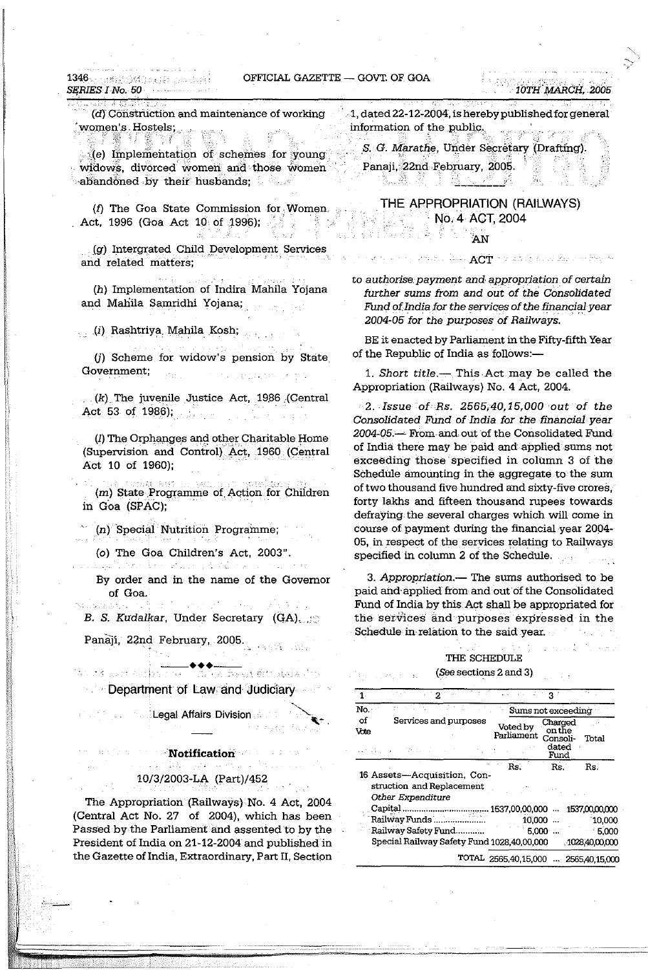## OFFICIAL GAZETTE - GOVT. OF GOA

 $1346.$ entidage.com de Juri SERIES I No. 50

(d) Construction and maintenance of working women's Hostels;

ミア 襲」 医白紫的球 (e) Implementation of schemes for young widows, divorced women and those women  $\sim$ abandoned by their husbands; a state

(f) The Goa State Commission for Women Act, 1996 (Goa Act 10 of 1996);

(g) Intergrated Child Development Services and related matters;

(h) Implementation of Indira Mahila Yojana and Mahila Samridhi Yojana;

. (i) Rashtriya Mahila Kosh;

(i) Scheme for widow's pension by State Government;  $\mathcal{P}_{\mathcal{D}_{\text{int}}}$ in the condensation

 $(k)$  The juvenile Justice Act, 1986 (Central Act 53 of 1986);  $1.723$ 

(I) The Orphanges and other Charitable Home (Supervision and Control) Act, 1960 (Central Act 10 of 1960);

(m) State Programme of Action for Children in Goa (SPAC);

(n) Special Nutrition Programme;

(o) The Goa Children's Act, 2003".

b aliterat da anato  $\mathcal{L} \in \mathcal{L}$  ,  $\mathcal{L}$ 

By order and in the name of the Governor of Goa.

 $5.005 - 10$ B. S. Kudalkar, Under Secretary (GA)

Panaji, 22nd February, 2005. And the

法公司等 医胆汁 医胆囊动脉瘤 in da sheka shi keya dun **Department of Law and Judiciary Comparent** 

**Collegal Affairs Division Collect** 

 $\blacksquare$  Notification  $\langle \hat{c}_{\alpha} \hat{c}_{\beta} \hat{c}_{\beta} \hat{c}_{\beta} \rangle$  ,  $\langle \hat{c}_{\alpha} \hat{c}_{\beta} \rangle$ 10/3/2003-LA (Part)/452

The Appropriation (Railways) No. 4 Act, 2004 (Central Act No. 27 of 2004), which has been Passed by the Parliament and assented to by the President of India on 21-12-2004 and published in the Gazette of India, Extraordinary, Part II, Section 1, dated 22-12-2004, is hereby published for general information of the public. .<br>مرد افریقیون دهه

S. G. Marathe, Under Secretary (Drafting). Panaji, 22nd February, 2005.

THE APPROPRIATION (RAILWAYS) No. 4 ACT, 2004 남화 집

**AN** 

to authorise payment and appropriation of certain further sums from and out of the Consolidated Fund of India for the services of the financial year 2004-05 for the purposes of Railways.

BE it enacted by Parliament in the Fifty-fifth Year of the Republic of India as follows:-

1. Short title.- This Act may be called the Appropriation (Railways) No. 4 Act, 2004.

2. Issue of Rs. 2565,40,15,000 out of the Consolidated Fund of India for the financial year 2004-05.— From and out of the Consolidated Fund of India there may be paid and applied sums not exceeding those specified in column 3 of the Schedule amounting in the aggregate to the sum of two thousand five hundred and sixty-five crores, forty lakhs and fifteen thousand rupees towards defraying the several charges which will come in course of payment during the financial year 2004-05, in respect of the services relating to Railways specified in column 2 of the Schedule.

3. Appropriation.— The sums authorised to be paid and applied from and out of the Consolidated Fund of India by this Act shall be appropriated for the services and purposes expressed in the Schedule in relation to the said year.

## THE SCHEDULE

(See sections 2 and 3).

| $1^{\circ}$ | - 2                                                                           | はっこうしょくしょくじょ                         | $3^{\circ}$                                    |                |
|-------------|-------------------------------------------------------------------------------|--------------------------------------|------------------------------------------------|----------------|
| No.         |                                                                               | Sums not exceeding                   |                                                |                |
| of<br>Vote  | Services and purposes<br>バーコローエー きんがく                                         | Voted by<br>Parliament               | Charged<br>on the<br>Consoli-<br>dated<br>Fund | Total          |
|             | 16 Assets-Acquisition, Con-<br>struction and Replacement<br>Other Expenditure | Rs.                                  | Rs.                                            | Rs.            |
|             | Capital                                                                       | $.1537,00,00,000$ $.1537,00,00,000$  |                                                |                |
|             | Railway Funds                                                                 |                                      | 10,000                                         | $-10,000$      |
|             | Railway Safety Fund                                                           |                                      | $5,000$                                        | $-5,000$       |
|             | Special Railway Safety Fund 1028,40,00,000                                    |                                      |                                                | 1028,40,00,000 |
|             |                                                                               | TOTAL 2565,40,15,000  2565,40,15,000 |                                                |                |

ACT in the state for the state of the terms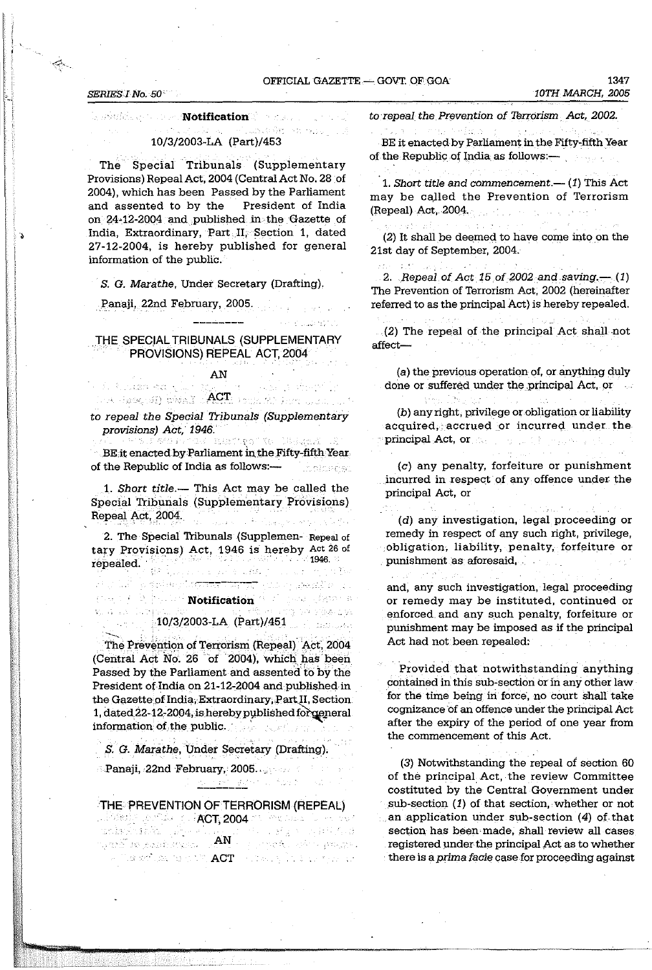## OFFICIAL GAZETTE - GOVT OF GOA

#### SERIES I No. 50

الحواليا الراحي

general communication of the state

#### 计数据报告 小路 10/3/2003-LA (Part)/453

The Special Tribunals (Supplementary Provisions) Repeal Act, 2004 (Central Act No. 28 of 2004), which has been Passed by the Parliament and assented to by the President of India on 24-12-2004 and published in the Gazette of India, Extraordinary, Part I, Section 1, dated 27-12-2004, is hereby published for general information of the public.

S. G. Marathe, Under Secretary (Drafting).

Panaji, 22nd February, 2005.

## THE SPECIAL TRIBUNALS (SUPPLEMENTARY PROVISIONS) REPEAL ACT, 2004

## $AN$ of Albash Ranger &

to repeal the Special Tribunals (Supplementary provisions) Act, 1946.

RA HASCIST) WWAY ACT FOUR AS FRANCHER

ak maxitesita ligaak BE it enacted by Parliament in the Fifty-fifth Year. of the Republic of India as follows:-**Cholsedes** 

1. Short title.— This Act may be called the Special Tribunals (Supplementary Provisions) Repeal Act, 2004. in<br>Protes and the Minimum of the

2. The Special Tribunals (Supplemen-Repeal of tary Provisions) Act, 1946 is hereby Act 26 of repealed.

**Considering the Second Notification** (Note)

#### 오 사 오시 승규가 강 대에 대표화 출발.  $10/3/2003$ -LA (Part)/451

i sa na katika matanganan na matangguna ng matangguna ng matangguna ng matangguna ng matangguna ng matangguna ng matangguna ng matangguna ng matangguna ng matangguna ng matangguna ng matangguna ng matangguna ng matangguna

The Prevention of Terrorism (Repeal) Act. 2004 (Central Act No. 26 of 2004), which has been Passed by the Parliament and assented to by the President of India on 21-12-2004 and published in the Gazette of India, Extraordinary, Part II, Section 1, dated 22-12-2004, is hereby published for general information of the public.

S. G. Marathe, Under Secretary (Drafting).

THE PREVENTION OF TERRORISM (REPEAL)

with a stationary respective,  $\mathbf{ACT} \to \mathbb{C}$  and by The analysis are

**Panaji, 22nd February, 2005.** 

2010年2月8日 年

sada ya shekara ya

the commencement of this Act.

(3) Notwithstanding the repeal of section 60 of the principal Act, the review Committee costituted by the Central Government under sub-section  $(1)$  of that section, whether or not an application under sub-section  $(4)$  of that section has been made, shall review all cases registered under the principal Act as to whether there is a prima facie case for proceeding against

to repeal the Prevention of Terrorism Act, 2002.

Parties 3 BE it enacted by Parliament in the Fifty-fifth Year of the Republic of India as follows: —

1. Short title and commencement.— $(1)$  This Act may be called the Prevention of Terrorism (Repeal) Act, 2004.

Services.

والمتوارد والمعارف المتمور

and a fill of the

(2) It shall be deemed to have come into on the 21st day of September, 2004.

2. Repeal of Act 15 of 2002 and saving.  $-$  (1) The Prevention of Terrorism Act, 2002 (hereinafter referred to as the principal Act) is hereby repealed.

(2) The repeal of the principal Act shall not affect-

ents and states

(a) the previous operation of, or anything duly done or suffered under the principal Act, or

(b) any right, privilege or obligation or liability acquired, accrued or incurred under the oprincipal Act, or the computation and the

(c) any penalty, forfeiture or punishment incurred in respect of any offence under the principal Act, or

(d) any investigation, legal proceeding or remedy in respect of any such right, privilege, obligation, liability, penalty, forfeiture or punishment as aforesaid,

and, any such investigation, legal proceeding or remedy may be instituted, continued or enforced and any such penalty, forfeiture or punishment may be imposed as if the principal Act had not been repealed.

Provided that notwithstanding anything contained in this sub-section or in any other law for the time being in force, no court shall take cognizance of an offence under the principal Act after the expiry of the period of one year from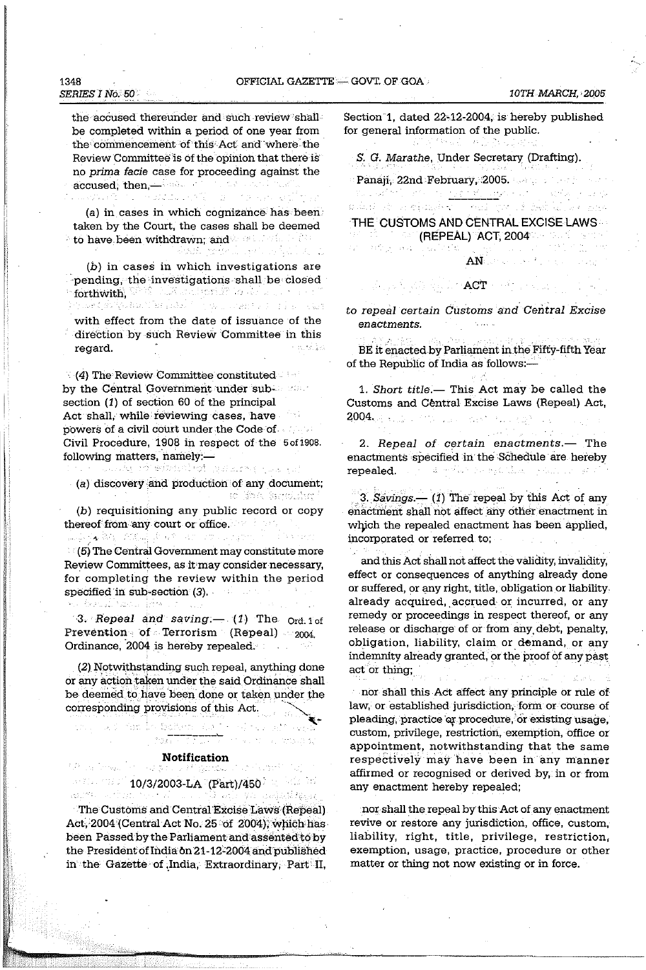## OFFICIAL GAZETTE - GOVT. OF GOA

 $\{f_{k+1}\}$ 

the accused thereunder and such review shall be completed within a period of one year from the commencement of this Act and where the Review Committee is of the opinion that there is no prima facie case for proceeding against the accused, then, with the second continued ในผมมัน เจริยา เมา กับ จะมา จะมีก็ก

(a) in cases in which cognizance has been taken by the Court, the cases shall be deemed **to have been withdrawn; and we have the first of the state of the state of the state of the state of the state of the state of the state of the state of the state of the state of the state of the state of the state of the** shade modelli gott in Spill at the

 $(b)$  in cases in which investigations are pending, the investigations shall be closed **forthwith**, W<sup>org</sup> Collection of the definition of the second<br>Speak of the analysis in the conditions of the second

with effect from the date of issuance of the direction by such Review Committee in this e modific regard.

 $\langle$  (4) The Review Committee constituted by the Central Government under subsection  $(1)$  of section 60 of the principal Act shall, while reviewing cases, have powers of a civil court under the Code of Civil Procedure, 1908 in respect of the 5 of 1908. following matters, namely:-

the Cooky of winterlegt galaxy passed (a) discovery and production of any document; st fra Genelling

(b) requisitioning any public record or copy thereof from any court or office.

 $(5)$  The Central Government may constitute more Review Committees, as it may consider necessary, for completing the review within the period specified in sub-section  $(3)$ . the Librarian How

3. Repeal and saving  $(1)$  The  $_{\text{Ord. 1 of}}$ Prevention of Terrorism (Repeal) 2004. Ordinance, 2004 is hereby repealed.

(2) Notwithstanding such repeal, anything done or any action taken under the said Ordinance shall be deemed to have been done or taken under the corresponding provisions of this Act.

# **Notification**

s erre a

<del>er</del> (fød 1000)

### $\sim$  7.4  $\sim$  10/3/2003-LA (Part)/450  $\sim$ appeal of the Wante ya wakatigan

us sai la taten de l'est

 $-2041$ 

The Customs and Central Excise Laws (Repeal) Act, 2004 (Central Act No. 25 of 2004), which has been Passed by the Parliament and assented to by the President of India on 21-12-2004 and published in the Gazette of India, Extraordinary, Part II,

Section 1. dated 22-12-2004, is hereby published for general information of the public.

 $\label{eq:2} \mathcal{L}^{\text{L}}(\mathbb{Z}_{2}) = \mathcal{L}^{\text{L}}(\mathbb{Z}_{2}) = \mathcal{L}^{\text{L}}(\mathbb{Z}_{2}) = \mathcal{L}^{\text{L}}_{\text{max}}$ S. G. Marathe, Under Secretary (Drafting).

Panaji, 22nd February, 2005. And a na aktivit vrije na <u>naprijeka ar</u>mijana (  $\Delta\mathcal{O}^2$  and  $\mathcal{O}^2$  and  $\mathcal{O}^2$ 

 $\{x_{k+1},x_{k}\}$ 

THE CUSTOMS AND CENTRAL EXCISE LAWS 2004 - An An M**ine (Répeàl) (Act, 2004** - An An Antoin an laby s and the

odni stani njegovački mali pravi stokih divka mira

 $\mathbf{AN}$  and a second construction of  $\mathcal{L}_\text{max}$ 

to repeal certain Customs and Central Excise enactments.

a na mga katika katika ng mga kalawang mga katika ng mga katika ng mga katika ng mga katika ng mga katika ng m

BE it enacted by Parliament in the Fifty-fifth Year of the Republic of India as follows:-

1. Short title.- This Act may be called the Customs and Central Excise Laws (Repeal) Act, 2004. A state of the class of the control of the

2. Repeal of certain enactments.- The enactments specified in the Schedule are hereby repealed. The Campbell Service Channels of a

3. Savings  $-$  (1) The repeal by this Act of any enactment shall not affect any other enactment in which the repealed enactment has been applied, incorporated or referred to;

and this Act shall not affect the validity, invalidity, effect or consequences of anything already done or suffered, or any right, title, obligation or liability already acquired, accrued or incurred, or any remedy or proceedings in respect thereof, or any release or discharge of or from any debt, penalty, obligation, liability, claim or demand, or any indemnity already granted, or the proof of any past act or thing;

nor shall this Act affect any principle or rule of law, or established jurisdiction, form or course of pleading, practice or procedure, or existing usage, custom, privilege, restriction, exemption, office or appointment, notwithstanding that the same respectively may have been in any manner affirmed or recognised or derived by, in or from any enactment hereby repealed;

nor shall the repeal by this Act of any enactment revive or restore any jurisdiction, office, custom, liability, right, title, privilege, restriction, exemption, usage, practice, procedure or other matter or thing not now existing or in force.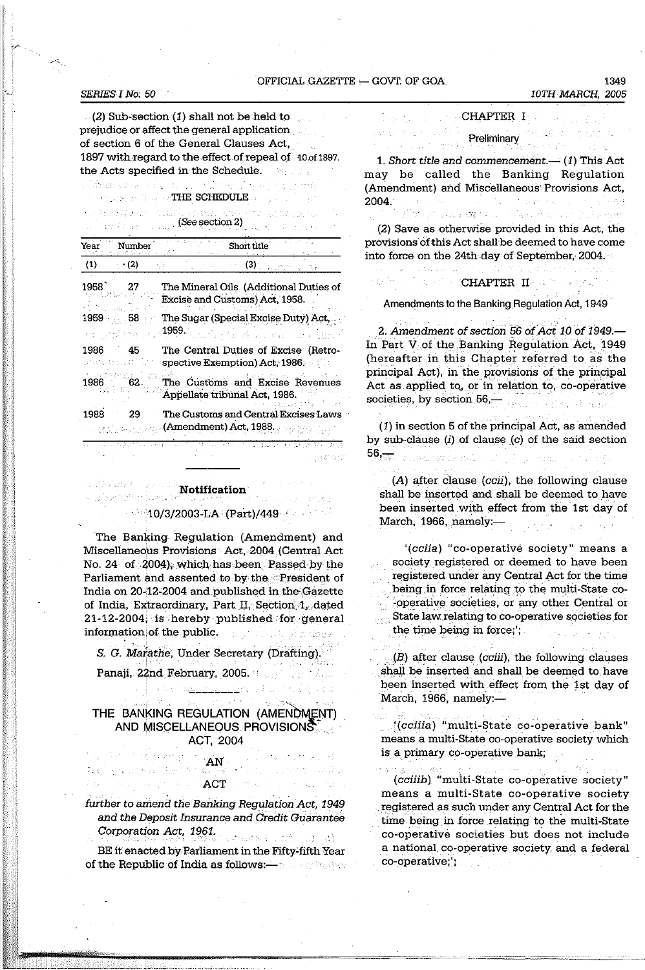## OFFICIAL GAZETTE - GOVT. OF GOA

Reserves to

#### **SERIES I No. 50**

 $(2)$  Sub-section  $(1)$  shall not be held to prejudice or affect the general application of section 6 of the General Clauses Act, 1897 with regard to the effect of repeal of 10 of 1897. the Acts specified in the Schedule. statement politics in فالتفري والمتماسية

 $\gamma$  in the second condition of  $\Gamma$  . The SCHEDULE  $\alpha$  ,  $\beta$  ,  $\beta$ 

น กระเริงจะแก่ เริงผู้กับ ครรณ เริงการ เร mask of circular  $(See section 2)$ 

| Year           | Number      | Short title                                                                                            |
|----------------|-------------|--------------------------------------------------------------------------------------------------------|
| (1)            | (2)         | (3)                                                                                                    |
| 1958           | 27          | The Mineral Oils (Additional Duties of<br>Excise and Customs) Act, 1958.                               |
| $\pm$ 11 $-$ 1 | $1959 - 58$ | The Sugar (Special Excise Duty) Act,<br>1959.<br>นเป็นกลับเครื่องเรืองรายการเข้าเป็นราค                |
| 1986           | 45          | The Central Duties of Excise (Retro-<br>spective Exemption) $\operatorname{Act.}$ 1986. $\blacksquare$ |
| 1986           | 62.         | The Customs and Excise Revenues<br>Appellate tribunal Act, 1986.                                       |
| 1988           | 29          | The Customs and Central Excises Laws<br>(Amendment) Act. 1988.                                         |

#### **Notification**

#### $\sim$  10/3/2003-LA (Part)/449 for a set

The Banking Regulation (Amendment) and Miscellaneous Provisions Act, 2004 (Central Act No. 24 of 2004), which has been Passed by the Parliament and assented to by the President of India on 20-12-2004 and published in the Gazette of India, Extraordinary, Part II, Section 1, dated 21-12-2004, is hereby published for general information of the public. ti yil 1714 yil di dome

S. G. Marathe, Under Secretary (Drafting). Panaji, 22nd February, 2005. The process of Alle

## THE BANKING REGULATION (AMENDMENT) AND MISCELLANEOUS PROVISIONS ACT, 2004

 $\label{eq:10} \widetilde{\textbf{A}}\textbf{N}_{\text{c}}$ 

he e

further to amend the Banking Regulation Act, 1949 and the Deposit Insurance and Credit Guarantee Corporation Act, 1961.  $\mathcal{L}_{\mathcal{L}_{\mathcal{L}}}(\mathcal{L}_{\mathcal{L}_{\mathcal{L}}}(\mathcal{L}_{\mathcal{L}_{\mathcal{L}}}(\mathcal{L}_{\mathcal{L}_{\mathcal{L}}}(\mathcal{L}_{\mathcal{L}}))\cap \mathcal{L}_{\mathcal{L}_{\mathcal{L}}}(\mathcal{L}_{\mathcal{L}_{\mathcal{L}}}(\mathcal{L}_{\mathcal{L}}))$ 

ACT New York

BE it enacted by Parliament in the Fifty-fifth Year of the Republic of India as follows:—

| 10TH MARCH, 2005 |  |
|------------------|--|
|                  |  |

1349

|  |  | - CHAPTER I<br>$\sim$ $\sim$ $\sim$ |  |
|--|--|-------------------------------------|--|
|  |  | Preliminary                         |  |
|  |  |                                     |  |

1. Short title and commencement.— $(1)$  This Act may be called the Banking Regulation (Amendment) and Miscellaneous Provisions Act.  $\Delta$  and  $\Delta$  and  $\Delta$ 2004. هوالان والمراج  $\mathcal{L}^{\pm}$ Class Andreas  $\mathcal{W}_{\mathcal{F},\mathcal{F}}(\mathcal{E}_{\mathcal{F},\mathcal{F}}(\mathcal{E}_{\mathcal{F},\mathcal{F}})) \otimes \mathcal{W}_{\mathcal{F}}(\mathcal{E}_{\mathcal{F},\mathcal{F}}(\mathcal{E}_{\mathcal{F},\mathcal{F}}))$ 

(2) Save as otherwise provided in this Act, the provisions of this Act shall be deemed to have come into force on the 24th day of September. 2004.

## **CALCHAPTER HOMES**

#### Amendments to the Banking Regulation Act, 1949

2. Amendment of section 56 of Act 10 of 1949.-In Part V of the Banking Regulation Act, 1949 (hereafter in this Chapter referred to as the principal Act), in the provisions of the principal Act as applied to, or in relation to, co-operative societies, by section 56, and the section of the section of the section of the second section of the second section of the second section of the second section of the second section of the second section of the second sect

(1) in section 5 of the principal Act, as amended by sub-clause  $(i)$  of clause  $(c)$  of the said section 56,550 Superior Council and Council and

(A) after clause (ccii), the following clause shall be inserted and shall be deemed to have been inserted with effect from the 1st day of March, 1966, namely:- $\frac{1}{2}$  , where  $\frac{1}{2}$ 

'(cciia) "co-operative society" means a society registered or deemed to have been registered under any Central Act for the time being in force relating to the multi-State co--operative societies, or any other Central or State law relating to co-operative societies for the time being in force;';  $\mathcal{L}_{\text{max}}$ 

 $(B)$  after clause (*cciii*), the following clauses shall be inserted and shall be deemed to have been inserted with effect from the 1st day of March, 1966, namely:-

'(cciiia) "multi-State co-operative bank" means a multi-State co-operative society which is a primary co-operative bank;

(cciiib) "multi-State co-operative society" means a multi-State co-operative society registered as such under any Central Act for the time being in force relating to the multi-State co-operative societies but does not include a national co-operative society and a federal co-operative;';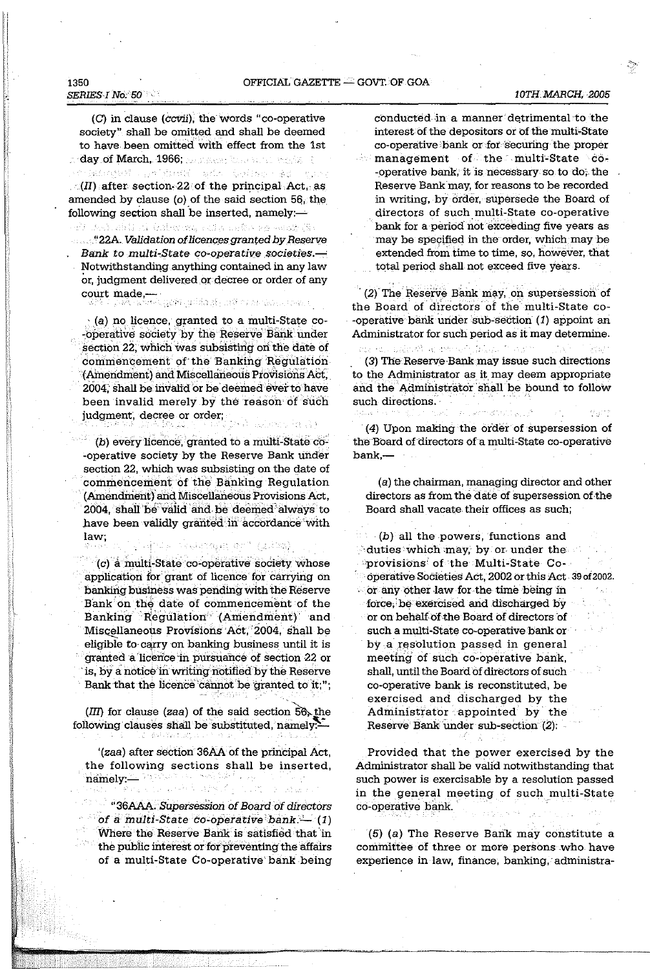## 1350 **SERIES I No. 50**

(C) in clause (ccvii), the words "co-operative society" shall be omitted and shall be deemed to have been omitted with effect from the 1st day of March, 1966; personal three sensitivity of

CONSTRUCTION CONTROLLED AND CONSTRUCTION  $\mathcal{L}(H)$  after section 22 of the principal Act, as amended by clause (o) of the said section 56, the following section shall be inserted, namely:-

# all desirablications and support the second (St

Bank to multi-State co-operative societies.-Notwithstanding anything contained in any law or, judgment delivered or decree or order of any court made, with graduate and as assumed to

 $\cdot$  (a) no licence, granted to a multi-State co--operative society by the Reserve Bank under section 22, which was subsisting on the date of commencement of the Banking Regulation (Amendment) and Miscellaneous Provisions Act, 2004, shall be invalid or be deemed ever to have been invalid merely by the reason of such judgment, decree or order;

(b) every licence, granted to a multi-State co--operative society by the Reserve Bank under section 22, which was subsisting on the date of commencement of the Banking Regulation (Amendment) and Miscellaneous Provisions Act, 2004, shall be valid and be deemed always to have been validly granted in accordance with law: Ginda Casaregar on" (2223).

(c) a multi-State co-operative society whose application for grant of licence for carrying on banking business was pending with the Reserve Bank on the date of commencement of the Banking Regulation (Amendment) and Miscellaneous Provisions Act, 2004, shall be eligible to carry on banking business until it is granted a licence in pursuance of section 22 or is, by a notice in writing notified by the Reserve Bank that the licence cannot be granted to it,";

 $(III)$  for clause (zaa) of the said section  $56$ , the following clauses shall be substituted, namely.

'(zaa) after section 36AA of the principal Act, the following sections shall be inserted, namely: We have a second that

"36AAA. Supersession of Board of directors of a multi-State co-operative bank.  $-$  (1) Where the Reserve Bank is satisfied that in the public interest or for preventing the affairs of a multi-State Co-operative bank being conducted in a manner detrimental to the interest of the depositors or of the multi-State co-operative bank or for securing the proper management of the multi-State co--operative bank, it is necessary so to do, the Reserve Bank may, for reasons to be recorded in writing, by order, supersede the Board of directors of such multi-State co-operative bank for a period not exceeding five years as may be specified in the order, which may be extended from time to time, so, however, that total period shall not exceed five years.

(2) The Reserve Bank may, on supersession of the Board of directors of the multi-State co--operative bank under sub-section (1) appoint an Administrator for such period as it may determine.

ละ ขอ ผล่องจี เจะช่องกำเนินนอก จะทำ (3) The Reserve Bank may issue such directions to the Administrator as it may deem appropriate and the Administrator shall be bound to follow such directions.

(4) Upon making the order of supersession of the Board of directors of a multi-State co-operative bank,—

(a) the chairman, managing director and other directors as from the date of supersession of the Board shall vacate their offices as such;

(b) all the powers, functions and duties which may, by or under the provisions of the Multi-State Cooperative Societies Act, 2002 or this Act 39 of 2002. or any other law for the time being in force, be exercised and discharged by or on behalf of the Board of directors of such a multi-State co-operative bank or by a resolution passed in general meeting of such co-operative bank. shall, until the Board of directors of such co-operative bank is reconstituted, be exercised and discharged by the Administrator appointed by the Reserve Bank under sub-section (2):

Provided that the power exercised by the Administrator shall be valid notwithstanding that such power is exercisable by a resolution passed in the general meeting of such multi-State co-operative bank

(5) (a) The Reserve Bank may constitute a committee of three or more persons who have experience in law, finance, banking, administra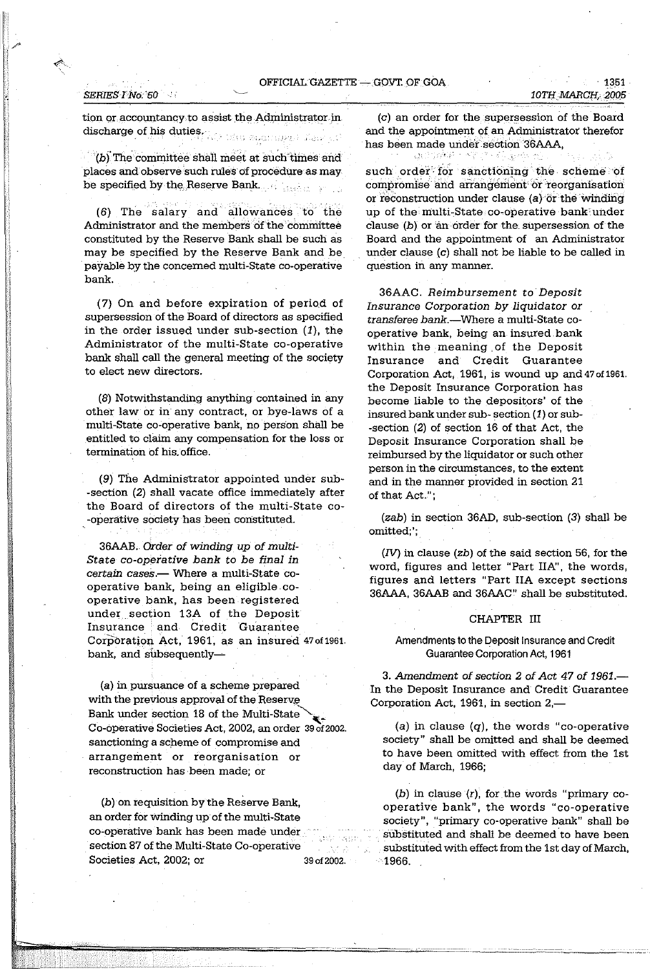tion or accountancy to assist the Administrator in

discharge of his duties. (Star Brandwell Terry)

 $h$ . (b) The committee shall meet at such times and places and observe such rules of procedure as may be specified by tlW, .Reserve Bank ...

 $(6)$  The salary and allowances to the Administrator and the members of the committee constituted by the Reserve Bank shall be such as may be specified by the Reserve Bank and be payable by the concerned mUlti-State co-operative bank.

(7) On and before expiration of period of supersession of the Board of directors as specified in the order issued under sub-section (1), the Administrator of the multi-State co-operative bank shall call the general meeting of the society to elect new directors.

(8) Notwithstanding anything contained in any other law or in any contract, or bye-laws of a mUlti-State co-operative bank, no person shall be entitled to claim any compensation for the loss or termination of his. office.

(9) The Administrator appointed under sub- -section (2) shall vacate office immediately after the Board of directors of the multi-State co- -operative society has been constituted.

36AAB. *Order* of *winding up* of *multi-*State *co-operative bank to be final in certain cases.-* Where a multi-State cooperative bank, being an eligible cooperative bank, has been registered under. section 13A of the Deposit Insurance and Credit Guarantee Corporation Act, 1961, as an insured 47 of 1961. bank, and subsequently-

(a) in pursuance of a scheme prepared with the previous approval of the Reserve Bank under section 18 of the Multi-State Co-operative Societies Act, 2002, an order 39 of 2002. sanctioning a scheme of compromise and arrangement or reorganisation or reconstruction has been made; or

(b) on requisition by the Reserve Bank, an order for winding up of the multi-State co-operative bank has been made under section 87 of the Multi-State Co-operative Societies Act, 2002; or 39 of 2002.

(c) an order for the supersession of the Board and the appointment of an Administrator therefor has been made under section '36AAA,

such order for sanctioning the scheme of compromise and arrangement or reorganisation or reconstruction under clause  $(a)$  or the winding up of the multi-State co-operative bank:under clause (b) or 'an order for the. supersession of the Board and the appointment of an Administrator under clause (c) shall not be liable to be called in question in any manner.

36AAC. *Reimbursement to Deposit Insurance Corporation by liquidator or transferee* bank.-Where a multi-State cooperative bank, being an insured bank within the meaning of the Deposit Insurance and Credit Guarantee Corporation Act, 1961, is wound up and 47 of 1961. the Deposit Insurance Corporation has become liable to the depositors' of the insured bank under sub- section (1) or sub- -section (2) of section 16 of that Act, the Deposit Insurance Corporation shall be reimbursed by the liquidator or such other person in the circumstances, to the extent and in the manner provided in section 21 of that Act.";

(zab) in section 36AD, sub-section (3) shall be omitted;';

(IV) in clause (zb) of the said section 56, for the word, figures and letter "Part lIN', the words, figures and letters "Part lIA except sections 36AAA, 36AAB and 36AAC" shall be substituted.

#### CHAPTER III

Amendments to the Deposit Insurance and Credit Guarantee Corporation Act, 1961

*3. Amendment* of *section* 2 of *Act* 47 of 1961.- In the Deposit Insurance and Credit Guarantee Corporation Act, 1961, in section  $2,$ —

(a) in clause  $(q)$ , the words "co-operative society" shall be omitted and shall be deemed to have been omitted with effect from the 1st day of March, 1966;

 $(b)$  in clause  $(r)$ , for the words "primary cooperative bank", the words "co-operative society", "primary co-operative bank" shall be substituted and shall be deemed to have been . substituted with effect from the 1st day of March, 1966.